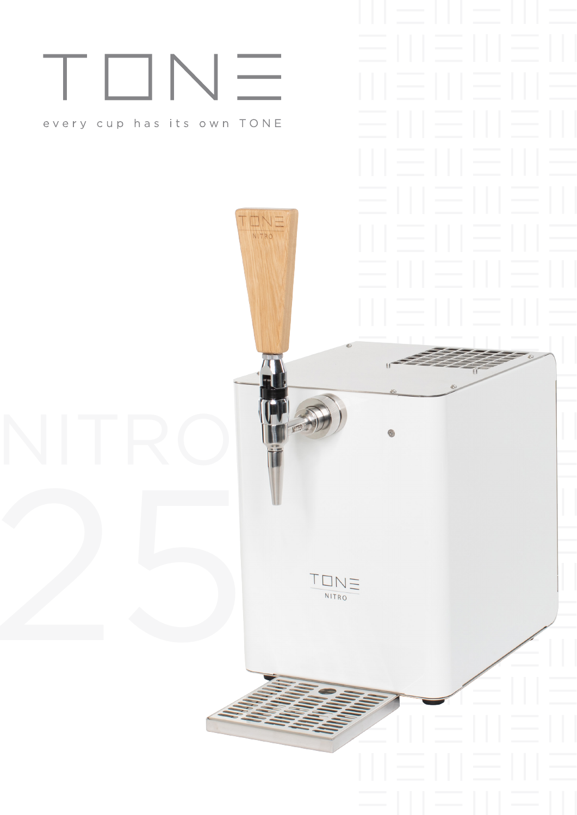# TON

### every cup has its own TONE

NITRO

 $\frac{1}{\sqrt{1-\frac{1}{1+\frac{1}{1+\frac{1}{1+\frac{1}{1+\frac{1}{1+\frac{1}{1+\frac{1}{1+\frac{1}{1+\frac{1}{1+\frac{1}{1+\frac{1}{1+\frac{1}{1+\frac{1}{1+\frac{1}{1+\frac{1}{1+\frac{1}{1+\frac{1}{1+\frac{1}{1+\frac{1}{1+\frac{1}{1+\frac{1}{1+\frac{1}{1+\frac{1}{1+\frac{1}{1+\frac{1}{1+\frac{1}{1+\frac{1}{1+\frac{1}{1+\frac{1}{1+\frac{1}{1+\frac{1}{1+\frac{1}{1+\frac{1}{1+\frac{1}{1+\frac{1}{1+\$